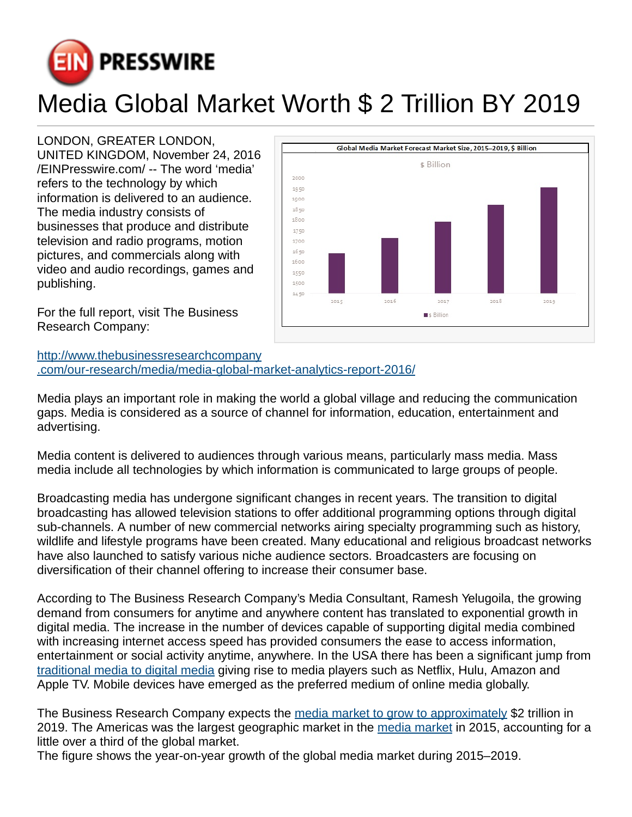

## Media Global Market Worth \$ 2 Trillion BY 2019

## LONDON, GREATER LONDON,

UNITED KINGDOM, November 24, 2016 [/EINPresswire.com](http://www.einpresswire.com)/ -- The word 'media' refers to the technology by which information is delivered to an audience. The media industry consists of businesses that produce and distribute television and radio programs, motion pictures, and commercials along with video and audio recordings, games and publishing.





Media plays an important role in making the world a global village and reducing the communication gaps. Media is considered as a source of channel for information, education, entertainment and advertising.

Media content is delivered to audiences through various means, particularly mass media. Mass media include all technologies by which information is communicated to large groups of people.

Broadcasting media has undergone significant changes in recent years. The transition to digital broadcasting has allowed television stations to offer additional programming options through digital sub-channels. A number of new commercial networks airing specialty programming such as history, wildlife and lifestyle programs have been created. Many educational and religious broadcast networks have also launched to satisfy various niche audience sectors. Broadcasters are focusing on diversification of their channel offering to increase their consumer base.

According to The Business Research Company's Media Consultant, Ramesh Yelugoila, the growing demand from consumers for anytime and anywhere content has translated to exponential growth in digital media. The increase in the number of devices capable of supporting digital media combined with increasing internet access speed has provided consumers the ease to access information, entertainment or social activity anytime, anywhere. In the USA there has been a significant jump from [traditional media to digital media](http://www.thebusinessresearchcompany.com/our-research/media/media-global-market-analytics-report-2016/) giving rise to media players such as Netflix, Hulu, Amazon and Apple TV. Mobile devices have emerged as the preferred medium of online media globally.

The Business Research Company expects the [media market to grow to approximately](http://www.thebusinessresearchcompany.com/our-research/media/media-global-market-analytics-report-2016/) \$2 trillion in 2019. The Americas was the largest geographic market in the [media market](http://www.thebusinessresearchcompany.com/product-category/media/) in 2015, accounting for a little over a third of the global market.

The figure shows the year-on-year growth of the global media market during 2015–2019.